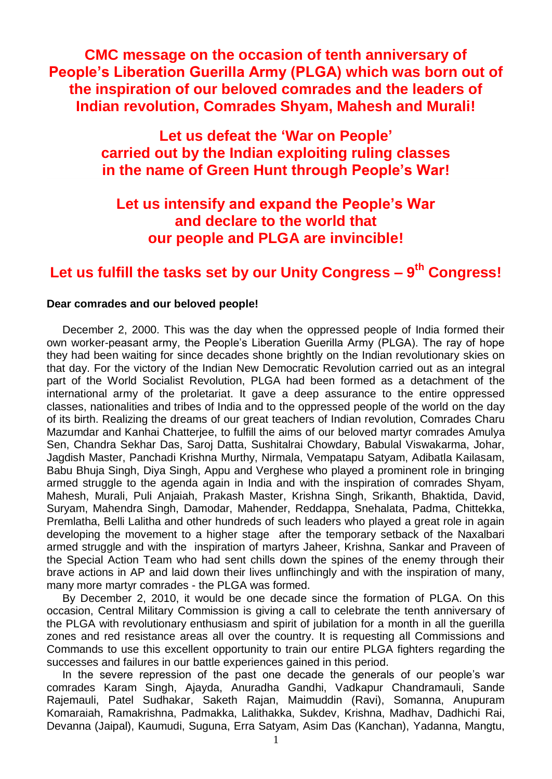**CMC message on the occasion of tenth anniversary of People's Liberation Guerilla Army (PLGA) which was born out of the inspiration of our beloved comrades and the leaders of Indian revolution, Comrades Shyam, Mahesh and Murali!**

> **Let us defeat the 'War on People' carried out by the Indian exploiting ruling classes in the name of Green Hunt through People's War!**

# **Let us intensify and expand the People's War and declare to the world that our people and PLGA are invincible!**

# **Let us fulfill the tasks set by our Unity Congress – 9 th Congress!**

## **Dear comrades and our beloved people!**

December 2, 2000. This was the day when the oppressed people of India formed their own worker-peasant army, the People"s Liberation Guerilla Army (PLGA). The ray of hope they had been waiting for since decades shone brightly on the Indian revolutionary skies on that day. For the victory of the Indian New Democratic Revolution carried out as an integral part of the World Socialist Revolution, PLGA had been formed as a detachment of the international army of the proletariat. It gave a deep assurance to the entire oppressed classes, nationalities and tribes of India and to the oppressed people of the world on the day of its birth. Realizing the dreams of our great teachers of Indian revolution, Comrades Charu Mazumdar and Kanhai Chatterjee, to fulfill the aims of our beloved martyr comrades Amulya Sen, Chandra Sekhar Das, Saroj Datta, Sushitalrai Chowdary, Babulal Viswakarma, Johar, Jagdish Master, Panchadi Krishna Murthy, Nirmala, Vempatapu Satyam, Adibatla Kailasam, Babu Bhuja Singh, Diya Singh, Appu and Verghese who played a prominent role in bringing armed struggle to the agenda again in India and with the inspiration of comrades Shyam, Mahesh, Murali, Puli Anjaiah, Prakash Master, Krishna Singh, Srikanth, Bhaktida, David, Suryam, Mahendra Singh, Damodar, Mahender, Reddappa, Snehalata, Padma, Chittekka, Premlatha, Belli Lalitha and other hundreds of such leaders who played a great role in again developing the movement to a higher stage after the temporary setback of the Naxalbari armed struggle and with the inspiration of martyrs Jaheer, Krishna, Sankar and Praveen of the Special Action Team who had sent chills down the spines of the enemy through their brave actions in AP and laid down their lives unflinchingly and with the inspiration of many, many more martyr comrades - the PLGA was formed.

By December 2, 2010, it would be one decade since the formation of PLGA. On this occasion, Central Military Commission is giving a call to celebrate the tenth anniversary of the PLGA with revolutionary enthusiasm and spirit of jubilation for a month in all the guerilla zones and red resistance areas all over the country. It is requesting all Commissions and Commands to use this excellent opportunity to train our entire PLGA fighters regarding the successes and failures in our battle experiences gained in this period.

In the severe repression of the past one decade the generals of our people's war comrades Karam Singh, Ajayda, Anuradha Gandhi, Vadkapur Chandramauli, Sande Rajemauli, Patel Sudhakar, Saketh Rajan, Maimuddin (Ravi), Somanna, Anupuram Komaraiah, Ramakrishna, Padmakka, Lalithakka, Sukdev, Krishna, Madhav, Dadhichi Rai, Devanna (Jaipal), Kaumudi, Suguna, Erra Satyam, Asim Das (Kanchan), Yadanna, Mangtu,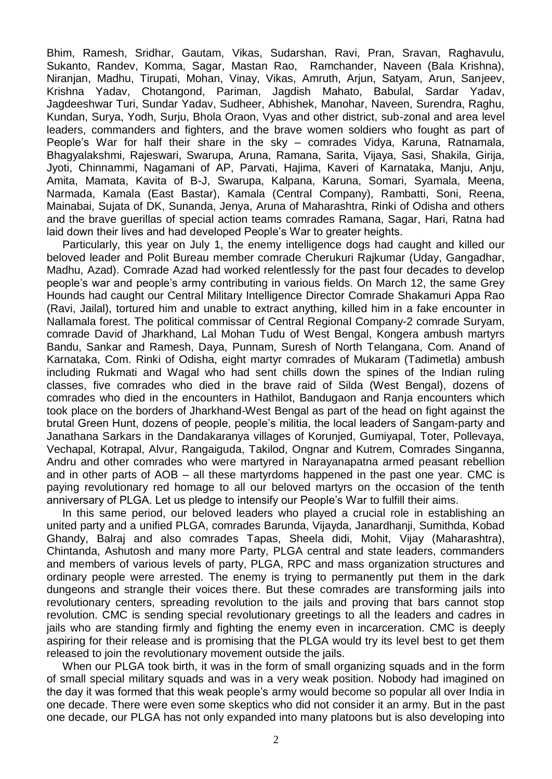Bhim, Ramesh, Sridhar, Gautam, Vikas, Sudarshan, Ravi, Pran, Sravan, Raghavulu, Sukanto, Randev, Komma, Sagar, Mastan Rao, Ramchander, Naveen (Bala Krishna), Niranjan, Madhu, Tirupati, Mohan, Vinay, Vikas, Amruth, Arjun, Satyam, Arun, Sanjeev, Krishna Yadav, Chotangond, Pariman, Jagdish Mahato, Babulal, Sardar Yadav, Jagdeeshwar Turi, Sundar Yadav, Sudheer, Abhishek, Manohar, Naveen, Surendra, Raghu, Kundan, Surya, Yodh, Surju, Bhola Oraon, Vyas and other district, sub-zonal and area level leaders, commanders and fighters, and the brave women soldiers who fought as part of People"s War for half their share in the sky – comrades Vidya, Karuna, Ratnamala, Bhagyalakshmi, Rajeswari, Swarupa, Aruna, Ramana, Sarita, Vijaya, Sasi, Shakila, Girija, Jyoti, Chinnammi, Nagamani of AP, Parvati, Hajima, Kaveri of Karnataka, Manju, Anju, Amita, Mamata, Kavita of B-J, Swarupa, Kalpana, Karuna, Somari, Syamala, Meena, Narmada, Kamala (East Bastar), Kamala (Central Company), Rambatti, Soni, Reena, Mainabai, Sujata of DK, Sunanda, Jenya, Aruna of Maharashtra, Rinki of Odisha and others and the brave guerillas of special action teams comrades Ramana, Sagar, Hari, Ratna had laid down their lives and had developed People"s War to greater heights.

Particularly, this year on July 1, the enemy intelligence dogs had caught and killed our beloved leader and Polit Bureau member comrade Cherukuri Rajkumar (Uday, Gangadhar, Madhu, Azad). Comrade Azad had worked relentlessly for the past four decades to develop people"s war and people"s army contributing in various fields. On March 12, the same Grey Hounds had caught our Central Military Intelligence Director Comrade Shakamuri Appa Rao (Ravi, Jailal), tortured him and unable to extract anything, killed him in a fake encounter in Nallamala forest. The political commissar of Central Regional Company-2 comrade Suryam, comrade David of Jharkhand, Lal Mohan Tudu of West Bengal, Kongera ambush martyrs Bandu, Sankar and Ramesh, Daya, Punnam, Suresh of North Telangana, Com. Anand of Karnataka, Com. Rinki of Odisha, eight martyr comrades of Mukaram (Tadimetla) ambush including Rukmati and Wagal who had sent chills down the spines of the Indian ruling classes, five comrades who died in the brave raid of Silda (West Bengal), dozens of comrades who died in the encounters in Hathilot, Bandugaon and Ranja encounters which took place on the borders of Jharkhand-West Bengal as part of the head on fight against the brutal Green Hunt, dozens of people, people"s militia, the local leaders of Sangam-party and Janathana Sarkars in the Dandakaranya villages of Korunjed, Gumiyapal, Toter, Pollevaya, Vechapal, Kotrapal, Alvur, Rangaiguda, Takilod, Ongnar and Kutrem, Comrades Singanna, Andru and other comrades who were martyred in Narayanapatna armed peasant rebellion and in other parts of AOB – all these martyrdoms happened in the past one year. CMC is paying revolutionary red homage to all our beloved martyrs on the occasion of the tenth anniversary of PLGA. Let us pledge to intensify our People"s War to fulfill their aims.

In this same period, our beloved leaders who played a crucial role in establishing an united party and a unified PLGA, comrades Barunda, Vijayda, Janardhanji, Sumithda, Kobad Ghandy, Balraj and also comrades Tapas, Sheela didi, Mohit, Vijay (Maharashtra), Chintanda, Ashutosh and many more Party, PLGA central and state leaders, commanders and members of various levels of party, PLGA, RPC and mass organization structures and ordinary people were arrested. The enemy is trying to permanently put them in the dark dungeons and strangle their voices there. But these comrades are transforming jails into revolutionary centers, spreading revolution to the jails and proving that bars cannot stop revolution. CMC is sending special revolutionary greetings to all the leaders and cadres in jails who are standing firmly and fighting the enemy even in incarceration. CMC is deeply aspiring for their release and is promising that the PLGA would try its level best to get them released to join the revolutionary movement outside the jails.

When our PLGA took birth, it was in the form of small organizing squads and in the form of small special military squads and was in a very weak position. Nobody had imagined on the day it was formed that this weak people"s army would become so popular all over India in one decade. There were even some skeptics who did not consider it an army. But in the past one decade, our PLGA has not only expanded into many platoons but is also developing into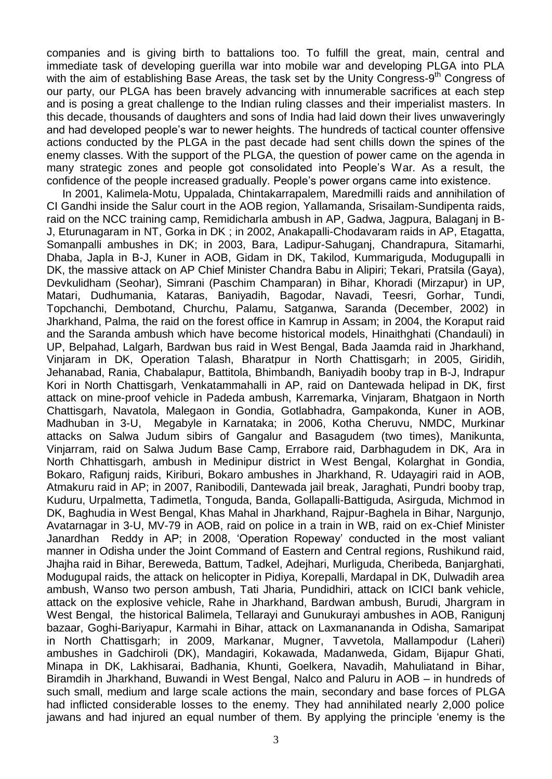companies and is giving birth to battalions too. To fulfill the great, main, central and immediate task of developing guerilla war into mobile war and developing PLGA into PLA with the aim of establishing Base Areas, the task set by the Unity Congress-9<sup>th</sup> Congress of our party, our PLGA has been bravely advancing with innumerable sacrifices at each step and is posing a great challenge to the Indian ruling classes and their imperialist masters. In this decade, thousands of daughters and sons of India had laid down their lives unwaveringly and had developed people"s war to newer heights. The hundreds of tactical counter offensive actions conducted by the PLGA in the past decade had sent chills down the spines of the enemy classes. With the support of the PLGA, the question of power came on the agenda in many strategic zones and people got consolidated into People"s War. As a result, the confidence of the people increased gradually. People"s power organs came into existence.

In 2001, Kalimela-Motu, Uppalada, Chintakarrapalem, Maredmilli raids and annihilation of CI Gandhi inside the Salur court in the AOB region, Yallamanda, Srisailam-Sundipenta raids, raid on the NCC training camp, Remidicharla ambush in AP, Gadwa, Jagpura, Balaganj in B-J, Eturunagaram in NT, Gorka in DK ; in 2002, Anakapalli-Chodavaram raids in AP, Etagatta, Somanpalli ambushes in DK; in 2003, Bara, Ladipur-Sahuganj, Chandrapura, Sitamarhi, Dhaba, Japla in B-J, Kuner in AOB, Gidam in DK, Takilod, Kummariguda, Modugupalli in DK, the massive attack on AP Chief Minister Chandra Babu in Alipiri; Tekari, Pratsila (Gaya), Devkulidham (Seohar), Simrani (Paschim Champaran) in Bihar, Khoradi (Mirzapur) in UP, Matari, Dudhumania, Kataras, Baniyadih, Bagodar, Navadi, Teesri, Gorhar, Tundi, Topchanchi, Dembotand, Churchu, Palamu, Satganwa, Saranda (December, 2002) in Jharkhand, Palma, the raid on the forest office in Kamrup in Assam; in 2004, the Koraput raid and the Saranda ambush which have become historical models, Hinaithghati (Chandauli) in UP, Belpahad, Lalgarh, Bardwan bus raid in West Bengal, Bada Jaamda raid in Jharkhand, Vinjaram in DK, Operation Talash, Bharatpur in North Chattisgarh; in 2005, Giridih, Jehanabad, Rania, Chabalapur, Battitola, Bhimbandh, Baniyadih booby trap in B-J, Indrapur Kori in North Chattisgarh, Venkatammahalli in AP, raid on Dantewada helipad in DK, first attack on mine-proof vehicle in Padeda ambush, Karremarka, Vinjaram, Bhatgaon in North Chattisgarh, Navatola, Malegaon in Gondia, Gotlabhadra, Gampakonda, Kuner in AOB, Madhuban in 3-U, Megabyle in Karnataka; in 2006, Kotha Cheruvu, NMDC, Murkinar attacks on Salwa Judum sibirs of Gangalur and Basagudem (two times), Manikunta, Vinjarram, raid on Salwa Judum Base Camp, Errabore raid, Darbhagudem in DK, Ara in North Chhattisgarh, ambush in Medinipur district in West Bengal, Kolarghat in Gondia, Bokaro, Rafigunj raids, Kiriburi, Bokaro ambushes in Jharkhand, R. Udayagiri raid in AOB, Atmakuru raid in AP; in 2007, Ranibodili, Dantewada jail break, Jaraghati, Pundri booby trap, Kuduru, Urpalmetta, Tadimetla, Tonguda, Banda, Gollapalli-Battiguda, Asirguda, Michmod in DK, Baghudia in West Bengal, Khas Mahal in Jharkhand, Rajpur-Baghela in Bihar, Nargunjo, Avatarnagar in 3-U, MV-79 in AOB, raid on police in a train in WB, raid on ex-Chief Minister Janardhan Reddy in AP; in 2008, "Operation Ropeway" conducted in the most valiant manner in Odisha under the Joint Command of Eastern and Central regions, Rushikund raid, Jhajha raid in Bihar, Bereweda, Battum, Tadkel, Adejhari, Murliguda, Cheribeda, Banjarghati, Modugupal raids, the attack on helicopter in Pidiya, Korepalli, Mardapal in DK, Dulwadih area ambush, Wanso two person ambush, Tati Jharia, Pundidhiri, attack on ICICI bank vehicle, attack on the explosive vehicle, Rahe in Jharkhand, Bardwan ambush, Burudi, Jhargram in West Bengal, the historical Balimela, Tellarayi and Gunukurayi ambushes in AOB, Ranigunj bazaar, Goghi-Bariyapur, Karmahi in Bihar, attack on Laxmanananda in Odisha, Samaripat in North Chattisgarh; in 2009, Markanar, Mugner, Tavvetola, Mallampodur (Laheri) ambushes in Gadchiroli (DK), Mandagiri, Kokawada, Madanweda, Gidam, Bijapur Ghati, Minapa in DK, Lakhisarai, Badhania, Khunti, Goelkera, Navadih, Mahuliatand in Bihar, Biramdih in Jharkhand, Buwandi in West Bengal, Nalco and Paluru in AOB – in hundreds of such small, medium and large scale actions the main, secondary and base forces of PLGA had inflicted considerable losses to the enemy. They had annihilated nearly 2,000 police jawans and had injured an equal number of them. By applying the principle "enemy is the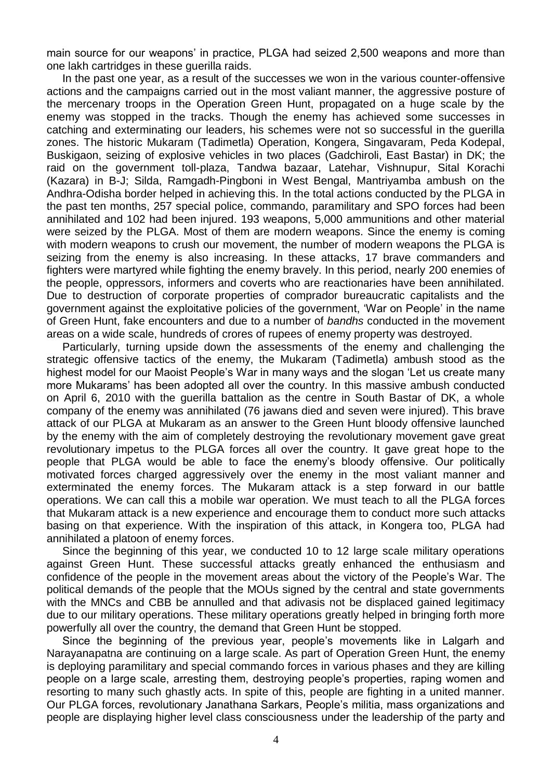main source for our weapons' in practice, PLGA had seized 2,500 weapons and more than one lakh cartridges in these guerilla raids.

In the past one year, as a result of the successes we won in the various counter-offensive actions and the campaigns carried out in the most valiant manner, the aggressive posture of the mercenary troops in the Operation Green Hunt, propagated on a huge scale by the enemy was stopped in the tracks. Though the enemy has achieved some successes in catching and exterminating our leaders, his schemes were not so successful in the guerilla zones. The historic Mukaram (Tadimetla) Operation, Kongera, Singavaram, Peda Kodepal, Buskigaon, seizing of explosive vehicles in two places (Gadchiroli, East Bastar) in DK; the raid on the government toll-plaza, Tandwa bazaar, Latehar, Vishnupur, Sital Korachi (Kazara) in B-J; Silda, Ramgadh-Pingboni in West Bengal, Mantriyamba ambush on the Andhra-Odisha border helped in achieving this. In the total actions conducted by the PLGA in the past ten months, 257 special police, commando, paramilitary and SPO forces had been annihilated and 102 had been injured. 193 weapons, 5,000 ammunitions and other material were seized by the PLGA. Most of them are modern weapons. Since the enemy is coming with modern weapons to crush our movement, the number of modern weapons the PLGA is seizing from the enemy is also increasing. In these attacks, 17 brave commanders and fighters were martyred while fighting the enemy bravely. In this period, nearly 200 enemies of the people, oppressors, informers and coverts who are reactionaries have been annihilated. Due to destruction of corporate properties of comprador bureaucratic capitalists and the government against the exploitative policies of the government, "War on People" in the name of Green Hunt, fake encounters and due to a number of *bandhs* conducted in the movement areas on a wide scale, hundreds of crores of rupees of enemy property was destroyed.

Particularly, turning upside down the assessments of the enemy and challenging the strategic offensive tactics of the enemy, the Mukaram (Tadimetla) ambush stood as the highest model for our Maoist People's War in many ways and the slogan 'Let us create many more Mukarams" has been adopted all over the country. In this massive ambush conducted on April 6, 2010 with the guerilla battalion as the centre in South Bastar of DK, a whole company of the enemy was annihilated (76 jawans died and seven were injured). This brave attack of our PLGA at Mukaram as an answer to the Green Hunt bloody offensive launched by the enemy with the aim of completely destroying the revolutionary movement gave great revolutionary impetus to the PLGA forces all over the country. It gave great hope to the people that PLGA would be able to face the enemy"s bloody offensive. Our politically motivated forces charged aggressively over the enemy in the most valiant manner and exterminated the enemy forces. The Mukaram attack is a step forward in our battle operations. We can call this a mobile war operation. We must teach to all the PLGA forces that Mukaram attack is a new experience and encourage them to conduct more such attacks basing on that experience. With the inspiration of this attack, in Kongera too, PLGA had annihilated a platoon of enemy forces.

Since the beginning of this year, we conducted 10 to 12 large scale military operations against Green Hunt. These successful attacks greatly enhanced the enthusiasm and confidence of the people in the movement areas about the victory of the People"s War. The political demands of the people that the MOUs signed by the central and state governments with the MNCs and CBB be annulled and that adivasis not be displaced gained legitimacy due to our military operations. These military operations greatly helped in bringing forth more powerfully all over the country, the demand that Green Hunt be stopped.

Since the beginning of the previous year, people's movements like in Lalgarh and Narayanapatna are continuing on a large scale. As part of Operation Green Hunt, the enemy is deploying paramilitary and special commando forces in various phases and they are killing people on a large scale, arresting them, destroying people"s properties, raping women and resorting to many such ghastly acts. In spite of this, people are fighting in a united manner. Our PLGA forces, revolutionary Janathana Sarkars, People"s militia, mass organizations and people are displaying higher level class consciousness under the leadership of the party and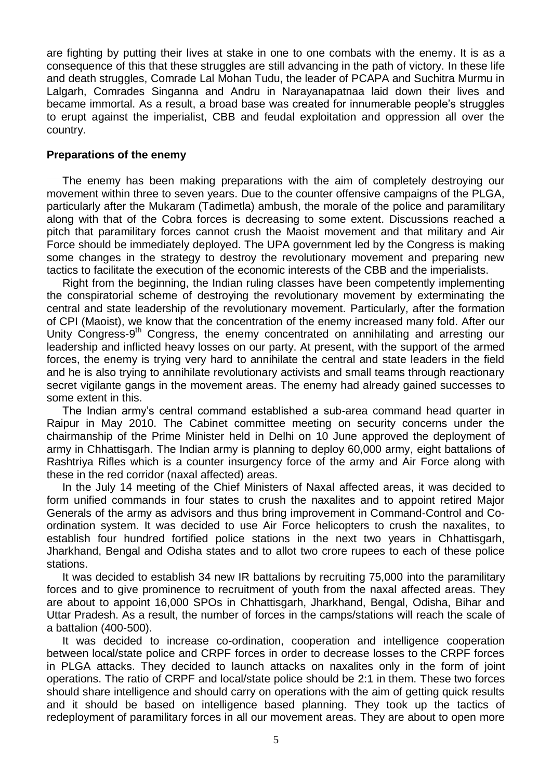are fighting by putting their lives at stake in one to one combats with the enemy. It is as a consequence of this that these struggles are still advancing in the path of victory. In these life and death struggles, Comrade Lal Mohan Tudu, the leader of PCAPA and Suchitra Murmu in Lalgarh, Comrades Singanna and Andru in Narayanapatnaa laid down their lives and became immortal. As a result, a broad base was created for innumerable people"s struggles to erupt against the imperialist, CBB and feudal exploitation and oppression all over the country.

#### **Preparations of the enemy**

The enemy has been making preparations with the aim of completely destroying our movement within three to seven years. Due to the counter offensive campaigns of the PLGA, particularly after the Mukaram (Tadimetla) ambush, the morale of the police and paramilitary along with that of the Cobra forces is decreasing to some extent. Discussions reached a pitch that paramilitary forces cannot crush the Maoist movement and that military and Air Force should be immediately deployed. The UPA government led by the Congress is making some changes in the strategy to destroy the revolutionary movement and preparing new tactics to facilitate the execution of the economic interests of the CBB and the imperialists.

Right from the beginning, the Indian ruling classes have been competently implementing the conspiratorial scheme of destroying the revolutionary movement by exterminating the central and state leadership of the revolutionary movement. Particularly, after the formation of CPI (Maoist), we know that the concentration of the enemy increased many fold. After our Unity Congress-9<sup>th</sup> Congress, the enemy concentrated on annihilating and arresting our leadership and inflicted heavy losses on our party. At present, with the support of the armed forces, the enemy is trying very hard to annihilate the central and state leaders in the field and he is also trying to annihilate revolutionary activists and small teams through reactionary secret vigilante gangs in the movement areas. The enemy had already gained successes to some extent in this.

The Indian army"s central command established a sub-area command head quarter in Raipur in May 2010. The Cabinet committee meeting on security concerns under the chairmanship of the Prime Minister held in Delhi on 10 June approved the deployment of army in Chhattisgarh. The Indian army is planning to deploy 60,000 army, eight battalions of Rashtriya Rifles which is a counter insurgency force of the army and Air Force along with these in the red corridor (naxal affected) areas.

In the July 14 meeting of the Chief Ministers of Naxal affected areas, it was decided to form unified commands in four states to crush the naxalites and to appoint retired Major Generals of the army as advisors and thus bring improvement in Command-Control and Coordination system. It was decided to use Air Force helicopters to crush the naxalites, to establish four hundred fortified police stations in the next two years in Chhattisgarh, Jharkhand, Bengal and Odisha states and to allot two crore rupees to each of these police stations.

It was decided to establish 34 new IR battalions by recruiting 75,000 into the paramilitary forces and to give prominence to recruitment of youth from the naxal affected areas. They are about to appoint 16,000 SPOs in Chhattisgarh, Jharkhand, Bengal, Odisha, Bihar and Uttar Pradesh. As a result, the number of forces in the camps/stations will reach the scale of a battalion (400-500).

It was decided to increase co-ordination, cooperation and intelligence cooperation between local/state police and CRPF forces in order to decrease losses to the CRPF forces in PLGA attacks. They decided to launch attacks on naxalites only in the form of joint operations. The ratio of CRPF and local/state police should be 2:1 in them. These two forces should share intelligence and should carry on operations with the aim of getting quick results and it should be based on intelligence based planning. They took up the tactics of redeployment of paramilitary forces in all our movement areas. They are about to open more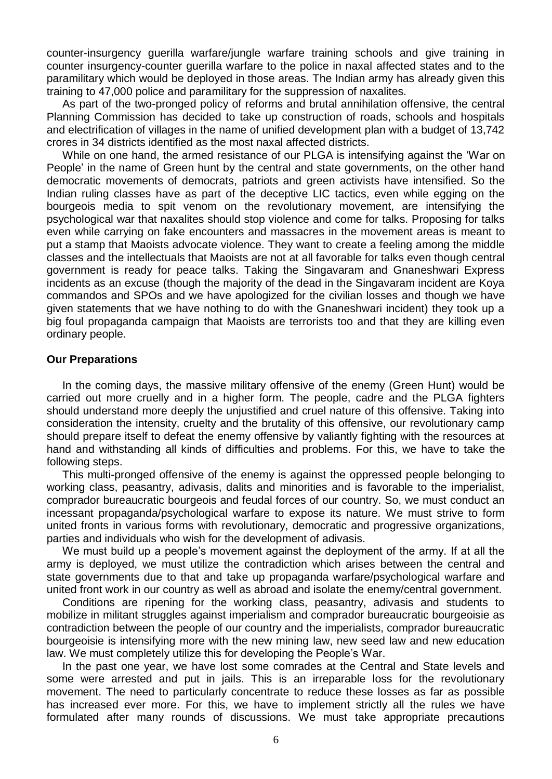counter-insurgency guerilla warfare/jungle warfare training schools and give training in counter insurgency-counter guerilla warfare to the police in naxal affected states and to the paramilitary which would be deployed in those areas. The Indian army has already given this training to 47,000 police and paramilitary for the suppression of naxalites.

As part of the two-pronged policy of reforms and brutal annihilation offensive, the central Planning Commission has decided to take up construction of roads, schools and hospitals and electrification of villages in the name of unified development plan with a budget of 13,742 crores in 34 districts identified as the most naxal affected districts.

While on one hand, the armed resistance of our PLGA is intensifying against the "War on People" in the name of Green hunt by the central and state governments, on the other hand democratic movements of democrats, patriots and green activists have intensified. So the Indian ruling classes have as part of the deceptive LIC tactics, even while egging on the bourgeois media to spit venom on the revolutionary movement, are intensifying the psychological war that naxalites should stop violence and come for talks. Proposing for talks even while carrying on fake encounters and massacres in the movement areas is meant to put a stamp that Maoists advocate violence. They want to create a feeling among the middle classes and the intellectuals that Maoists are not at all favorable for talks even though central government is ready for peace talks. Taking the Singavaram and Gnaneshwari Express incidents as an excuse (though the majority of the dead in the Singavaram incident are Koya commandos and SPOs and we have apologized for the civilian losses and though we have given statements that we have nothing to do with the Gnaneshwari incident) they took up a big foul propaganda campaign that Maoists are terrorists too and that they are killing even ordinary people.

#### **Our Preparations**

In the coming days, the massive military offensive of the enemy (Green Hunt) would be carried out more cruelly and in a higher form. The people, cadre and the PLGA fighters should understand more deeply the unjustified and cruel nature of this offensive. Taking into consideration the intensity, cruelty and the brutality of this offensive, our revolutionary camp should prepare itself to defeat the enemy offensive by valiantly fighting with the resources at hand and withstanding all kinds of difficulties and problems. For this, we have to take the following steps.

This multi-pronged offensive of the enemy is against the oppressed people belonging to working class, peasantry, adivasis, dalits and minorities and is favorable to the imperialist, comprador bureaucratic bourgeois and feudal forces of our country. So, we must conduct an incessant propaganda/psychological warfare to expose its nature. We must strive to form united fronts in various forms with revolutionary, democratic and progressive organizations, parties and individuals who wish for the development of adivasis.

We must build up a people's movement against the deployment of the army. If at all the army is deployed, we must utilize the contradiction which arises between the central and state governments due to that and take up propaganda warfare/psychological warfare and united front work in our country as well as abroad and isolate the enemy/central government.

Conditions are ripening for the working class, peasantry, adivasis and students to mobilize in militant struggles against imperialism and comprador bureaucratic bourgeoisie as contradiction between the people of our country and the imperialists, comprador bureaucratic bourgeoisie is intensifying more with the new mining law, new seed law and new education law. We must completely utilize this for developing the People"s War.

In the past one year, we have lost some comrades at the Central and State levels and some were arrested and put in jails. This is an irreparable loss for the revolutionary movement. The need to particularly concentrate to reduce these losses as far as possible has increased ever more. For this, we have to implement strictly all the rules we have formulated after many rounds of discussions. We must take appropriate precautions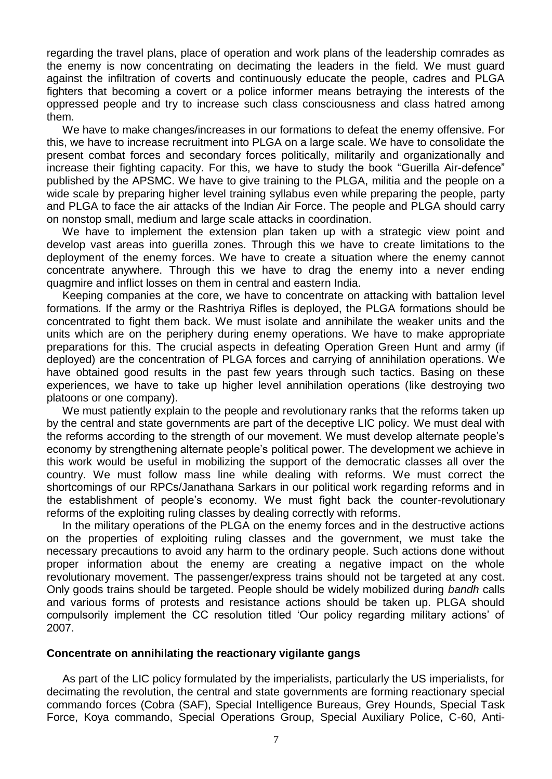regarding the travel plans, place of operation and work plans of the leadership comrades as the enemy is now concentrating on decimating the leaders in the field. We must guard against the infiltration of coverts and continuously educate the people, cadres and PLGA fighters that becoming a covert or a police informer means betraying the interests of the oppressed people and try to increase such class consciousness and class hatred among them.

We have to make changes/increases in our formations to defeat the enemy offensive. For this, we have to increase recruitment into PLGA on a large scale. We have to consolidate the present combat forces and secondary forces politically, militarily and organizationally and increase their fighting capacity. For this, we have to study the book "Guerilla Air-defence" published by the APSMC. We have to give training to the PLGA, militia and the people on a wide scale by preparing higher level training syllabus even while preparing the people, party and PLGA to face the air attacks of the Indian Air Force. The people and PLGA should carry on nonstop small, medium and large scale attacks in coordination.

We have to implement the extension plan taken up with a strategic view point and develop vast areas into guerilla zones. Through this we have to create limitations to the deployment of the enemy forces. We have to create a situation where the enemy cannot concentrate anywhere. Through this we have to drag the enemy into a never ending quagmire and inflict losses on them in central and eastern India.

Keeping companies at the core, we have to concentrate on attacking with battalion level formations. If the army or the Rashtriya Rifles is deployed, the PLGA formations should be concentrated to fight them back. We must isolate and annihilate the weaker units and the units which are on the periphery during enemy operations. We have to make appropriate preparations for this. The crucial aspects in defeating Operation Green Hunt and army (if deployed) are the concentration of PLGA forces and carrying of annihilation operations. We have obtained good results in the past few years through such tactics. Basing on these experiences, we have to take up higher level annihilation operations (like destroying two platoons or one company).

We must patiently explain to the people and revolutionary ranks that the reforms taken up by the central and state governments are part of the deceptive LIC policy. We must deal with the reforms according to the strength of our movement. We must develop alternate people"s economy by strengthening alternate people"s political power. The development we achieve in this work would be useful in mobilizing the support of the democratic classes all over the country. We must follow mass line while dealing with reforms. We must correct the shortcomings of our RPCs/Janathana Sarkars in our political work regarding reforms and in the establishment of people"s economy. We must fight back the counter-revolutionary reforms of the exploiting ruling classes by dealing correctly with reforms.

In the military operations of the PLGA on the enemy forces and in the destructive actions on the properties of exploiting ruling classes and the government, we must take the necessary precautions to avoid any harm to the ordinary people. Such actions done without proper information about the enemy are creating a negative impact on the whole revolutionary movement. The passenger/express trains should not be targeted at any cost. Only goods trains should be targeted. People should be widely mobilized during *bandh* calls and various forms of protests and resistance actions should be taken up. PLGA should compulsorily implement the CC resolution titled "Our policy regarding military actions" of 2007.

#### **Concentrate on annihilating the reactionary vigilante gangs**

As part of the LIC policy formulated by the imperialists, particularly the US imperialists, for decimating the revolution, the central and state governments are forming reactionary special commando forces (Cobra (SAF), Special Intelligence Bureaus, Grey Hounds, Special Task Force, Koya commando, Special Operations Group, Special Auxiliary Police, C-60, Anti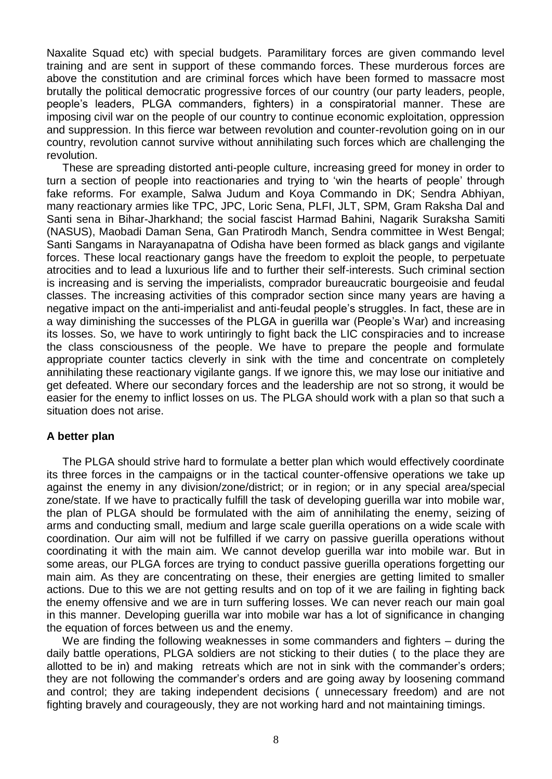Naxalite Squad etc) with special budgets. Paramilitary forces are given commando level training and are sent in support of these commando forces. These murderous forces are above the constitution and are criminal forces which have been formed to massacre most brutally the political democratic progressive forces of our country (our party leaders, people, people"s leaders, PLGA commanders, fighters) in a conspiratorial manner. These are imposing civil war on the people of our country to continue economic exploitation, oppression and suppression. In this fierce war between revolution and counter-revolution going on in our country, revolution cannot survive without annihilating such forces which are challenging the revolution.

These are spreading distorted anti-people culture, increasing greed for money in order to turn a section of people into reactionaries and trying to "win the hearts of people" through fake reforms. For example, Salwa Judum and Koya Commando in DK; Sendra Abhiyan, many reactionary armies like TPC, JPC, Loric Sena, PLFI, JLT, SPM, Gram Raksha Dal and Santi sena in Bihar-Jharkhand; the social fascist Harmad Bahini, Nagarik Suraksha Samiti (NASUS), Maobadi Daman Sena, Gan Pratirodh Manch, Sendra committee in West Bengal; Santi Sangams in Narayanapatna of Odisha have been formed as black gangs and vigilante forces. These local reactionary gangs have the freedom to exploit the people, to perpetuate atrocities and to lead a luxurious life and to further their self-interests. Such criminal section is increasing and is serving the imperialists, comprador bureaucratic bourgeoisie and feudal classes. The increasing activities of this comprador section since many years are having a negative impact on the anti-imperialist and anti-feudal people"s struggles. In fact, these are in a way diminishing the successes of the PLGA in guerilla war (People"s War) and increasing its losses. So, we have to work untiringly to fight back the LIC conspiracies and to increase the class consciousness of the people. We have to prepare the people and formulate appropriate counter tactics cleverly in sink with the time and concentrate on completely annihilating these reactionary vigilante gangs. If we ignore this, we may lose our initiative and get defeated. Where our secondary forces and the leadership are not so strong, it would be easier for the enemy to inflict losses on us. The PLGA should work with a plan so that such a situation does not arise.

# **A better plan**

The PLGA should strive hard to formulate a better plan which would effectively coordinate its three forces in the campaigns or in the tactical counter-offensive operations we take up against the enemy in any division/zone/district; or in region; or in any special area/special zone/state. If we have to practically fulfill the task of developing guerilla war into mobile war, the plan of PLGA should be formulated with the aim of annihilating the enemy, seizing of arms and conducting small, medium and large scale guerilla operations on a wide scale with coordination. Our aim will not be fulfilled if we carry on passive guerilla operations without coordinating it with the main aim. We cannot develop guerilla war into mobile war. But in some areas, our PLGA forces are trying to conduct passive guerilla operations forgetting our main aim. As they are concentrating on these, their energies are getting limited to smaller actions. Due to this we are not getting results and on top of it we are failing in fighting back the enemy offensive and we are in turn suffering losses. We can never reach our main goal in this manner. Developing guerilla war into mobile war has a lot of significance in changing the equation of forces between us and the enemy.

We are finding the following weaknesses in some commanders and fighters – during the daily battle operations, PLGA soldiers are not sticking to their duties ( to the place they are allotted to be in) and making retreats which are not in sink with the commander"s orders; they are not following the commander"s orders and are going away by loosening command and control; they are taking independent decisions ( unnecessary freedom) and are not fighting bravely and courageously, they are not working hard and not maintaining timings.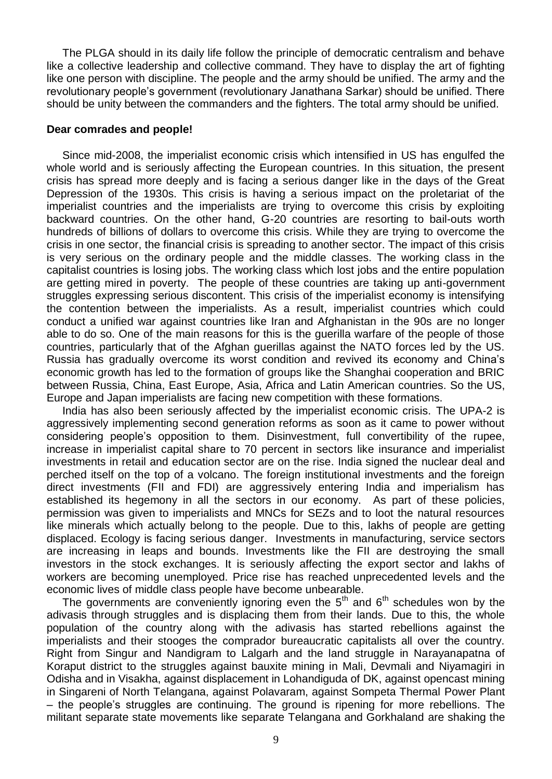The PLGA should in its daily life follow the principle of democratic centralism and behave like a collective leadership and collective command. They have to display the art of fighting like one person with discipline. The people and the army should be unified. The army and the revolutionary people"s government (revolutionary Janathana Sarkar) should be unified. There should be unity between the commanders and the fighters. The total army should be unified.

#### **Dear comrades and people!**

Since mid-2008, the imperialist economic crisis which intensified in US has engulfed the whole world and is seriously affecting the European countries. In this situation, the present crisis has spread more deeply and is facing a serious danger like in the days of the Great Depression of the 1930s. This crisis is having a serious impact on the proletariat of the imperialist countries and the imperialists are trying to overcome this crisis by exploiting backward countries. On the other hand, G-20 countries are resorting to bail-outs worth hundreds of billions of dollars to overcome this crisis. While they are trying to overcome the crisis in one sector, the financial crisis is spreading to another sector. The impact of this crisis is very serious on the ordinary people and the middle classes. The working class in the capitalist countries is losing jobs. The working class which lost jobs and the entire population are getting mired in poverty. The people of these countries are taking up anti-government struggles expressing serious discontent. This crisis of the imperialist economy is intensifying the contention between the imperialists. As a result, imperialist countries which could conduct a unified war against countries like Iran and Afghanistan in the 90s are no longer able to do so. One of the main reasons for this is the guerilla warfare of the people of those countries, particularly that of the Afghan guerillas against the NATO forces led by the US. Russia has gradually overcome its worst condition and revived its economy and China"s economic growth has led to the formation of groups like the Shanghai cooperation and BRIC between Russia, China, East Europe, Asia, Africa and Latin American countries. So the US, Europe and Japan imperialists are facing new competition with these formations.

India has also been seriously affected by the imperialist economic crisis. The UPA-2 is aggressively implementing second generation reforms as soon as it came to power without considering people"s opposition to them. Disinvestment, full convertibility of the rupee, increase in imperialist capital share to 70 percent in sectors like insurance and imperialist investments in retail and education sector are on the rise. India signed the nuclear deal and perched itself on the top of a volcano. The foreign institutional investments and the foreign direct investments (FII and FDI) are aggressively entering India and imperialism has established its hegemony in all the sectors in our economy. As part of these policies, permission was given to imperialists and MNCs for SEZs and to loot the natural resources like minerals which actually belong to the people. Due to this, lakhs of people are getting displaced. Ecology is facing serious danger. Investments in manufacturing, service sectors are increasing in leaps and bounds. Investments like the FII are destroying the small investors in the stock exchanges. It is seriously affecting the export sector and lakhs of workers are becoming unemployed. Price rise has reached unprecedented levels and the economic lives of middle class people have become unbearable.

The governments are conveniently ignoring even the  $5<sup>th</sup>$  and  $6<sup>th</sup>$  schedules won by the adivasis through struggles and is displacing them from their lands. Due to this, the whole population of the country along with the adivasis has started rebellions against the imperialists and their stooges the comprador bureaucratic capitalists all over the country. Right from Singur and Nandigram to Lalgarh and the land struggle in Narayanapatna of Koraput district to the struggles against bauxite mining in Mali, Devmali and Niyamagiri in Odisha and in Visakha, against displacement in Lohandiguda of DK, against opencast mining in Singareni of North Telangana, against Polavaram, against Sompeta Thermal Power Plant – the people"s struggles are continuing. The ground is ripening for more rebellions. The militant separate state movements like separate Telangana and Gorkhaland are shaking the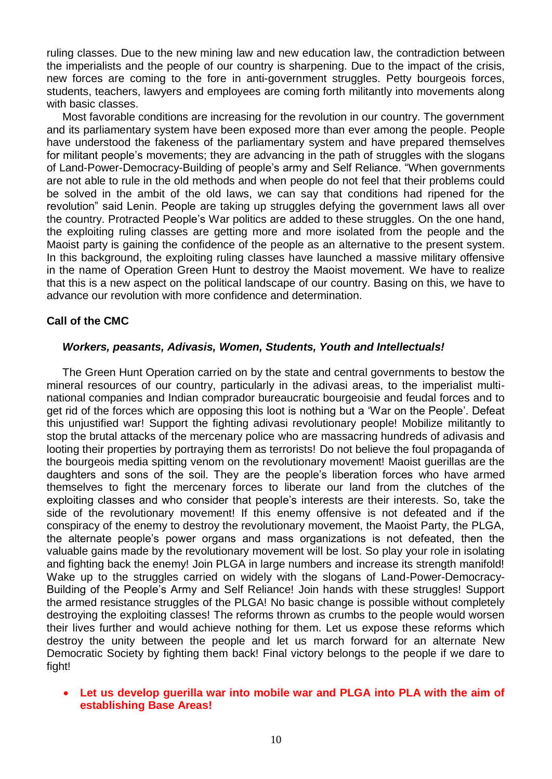ruling classes. Due to the new mining law and new education law, the contradiction between the imperialists and the people of our country is sharpening. Due to the impact of the crisis, new forces are coming to the fore in anti-government struggles. Petty bourgeois forces, students, teachers, lawyers and employees are coming forth militantly into movements along with basic classes.

Most favorable conditions are increasing for the revolution in our country. The government and its parliamentary system have been exposed more than ever among the people. People have understood the fakeness of the parliamentary system and have prepared themselves for militant people's movements; they are advancing in the path of struggles with the slogans of Land-Power-Democracy-Building of people"s army and Self Reliance. "When governments are not able to rule in the old methods and when people do not feel that their problems could be solved in the ambit of the old laws, we can say that conditions had ripened for the revolution" said Lenin. People are taking up struggles defying the government laws all over the country. Protracted People"s War politics are added to these struggles. On the one hand, the exploiting ruling classes are getting more and more isolated from the people and the Maoist party is gaining the confidence of the people as an alternative to the present system. In this background, the exploiting ruling classes have launched a massive military offensive in the name of Operation Green Hunt to destroy the Maoist movement. We have to realize that this is a new aspect on the political landscape of our country. Basing on this, we have to advance our revolution with more confidence and determination.

# **Call of the CMC**

## *Workers, peasants, Adivasis, Women, Students, Youth and Intellectuals!*

The Green Hunt Operation carried on by the state and central governments to bestow the mineral resources of our country, particularly in the adivasi areas, to the imperialist multinational companies and Indian comprador bureaucratic bourgeoisie and feudal forces and to get rid of the forces which are opposing this loot is nothing but a "War on the People". Defeat this unjustified war! Support the fighting adivasi revolutionary people! Mobilize militantly to stop the brutal attacks of the mercenary police who are massacring hundreds of adivasis and looting their properties by portraying them as terrorists! Do not believe the foul propaganda of the bourgeois media spitting venom on the revolutionary movement! Maoist guerillas are the daughters and sons of the soil. They are the people"s liberation forces who have armed themselves to fight the mercenary forces to liberate our land from the clutches of the exploiting classes and who consider that people"s interests are their interests. So, take the side of the revolutionary movement! If this enemy offensive is not defeated and if the conspiracy of the enemy to destroy the revolutionary movement, the Maoist Party, the PLGA, the alternate people"s power organs and mass organizations is not defeated, then the valuable gains made by the revolutionary movement will be lost. So play your role in isolating and fighting back the enemy! Join PLGA in large numbers and increase its strength manifold! Wake up to the struggles carried on widely with the slogans of Land-Power-Democracy-Building of the People"s Army and Self Reliance! Join hands with these struggles! Support the armed resistance struggles of the PLGA! No basic change is possible without completely destroying the exploiting classes! The reforms thrown as crumbs to the people would worsen their lives further and would achieve nothing for them. Let us expose these reforms which destroy the unity between the people and let us march forward for an alternate New Democratic Society by fighting them back! Final victory belongs to the people if we dare to fight!

 **Let us develop guerilla war into mobile war and PLGA into PLA with the aim of establishing Base Areas!**